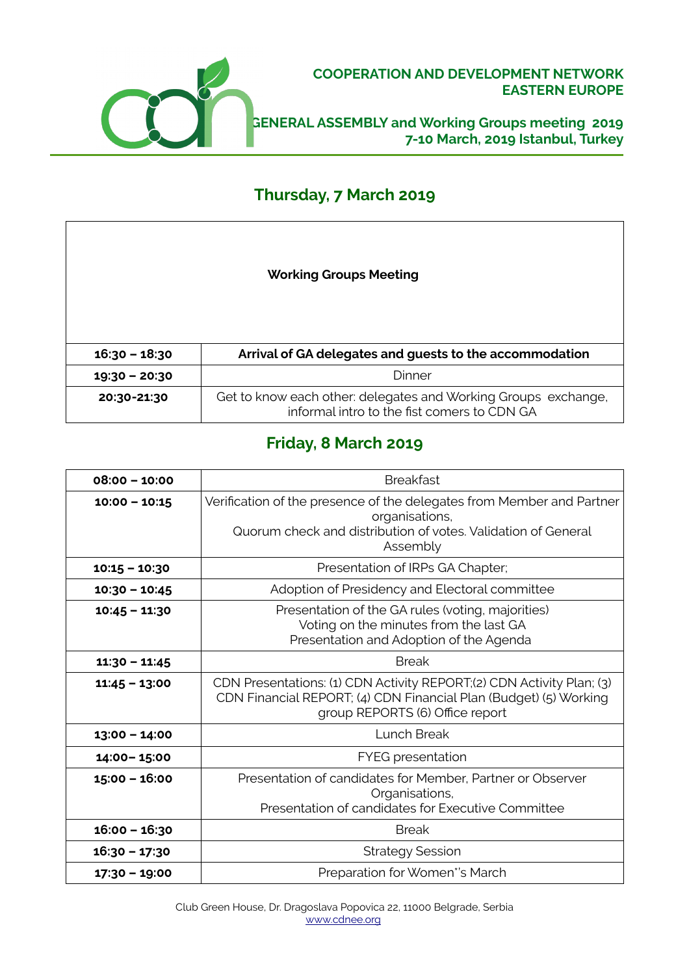

### **COOPERATION AND DEVELOPMENT NETWORK EASTERN EUROPE**

**GENERAL ASSEMBLY and Working Groups meeting 2019 7-10 March, 2019 Istanbul, Turkey**

## **Thursday, 7 March 2019**

| <b>Working Groups Meeting</b> |
|-------------------------------|
|-------------------------------|

| 16:30 - 18:30 | Arrival of GA delegates and guests to the accommodation                                                       |
|---------------|---------------------------------------------------------------------------------------------------------------|
| 19:30 - 20:30 | Dinner                                                                                                        |
| 20:30-21:30   | Get to know each other: delegates and Working Groups exchange,<br>informal intro to the fist comers to CDN GA |

# **Friday, 8 March 2019**

| $08:00 - 10:00$ | <b>Breakfast</b>                                                                                                                                                              |
|-----------------|-------------------------------------------------------------------------------------------------------------------------------------------------------------------------------|
| $10:00 - 10:15$ | Verification of the presence of the delegates from Member and Partner<br>organisations,<br>Quorum check and distribution of votes. Validation of General<br>Assembly          |
| $10:15 - 10:30$ | Presentation of IRPs GA Chapter;                                                                                                                                              |
| $10:30 - 10:45$ | Adoption of Presidency and Electoral committee                                                                                                                                |
| $10:45 - 11:30$ | Presentation of the GA rules (voting, majorities)<br>Voting on the minutes from the last GA<br>Presentation and Adoption of the Agenda                                        |
| $11:30 - 11:45$ | <b>Break</b>                                                                                                                                                                  |
| $11:45 - 13:00$ | CDN Presentations: (1) CDN Activity REPORT;(2) CDN Activity Plan; (3)<br>CDN Financial REPORT; (4) CDN Financial Plan (Budget) (5) Working<br>group REPORTS (6) Office report |
| $13:00 - 14:00$ | Lunch Break                                                                                                                                                                   |
| 14:00-15:00     | <b>FYEG</b> presentation                                                                                                                                                      |
| $15:00 - 16:00$ | Presentation of candidates for Member, Partner or Observer<br>Organisations,<br>Presentation of candidates for Executive Committee                                            |
| $16:00 - 16:30$ | <b>Break</b>                                                                                                                                                                  |
| 16:30 - 17:30   | <b>Strategy Session</b>                                                                                                                                                       |
| 17:30 - 19:00   | Preparation for Women*'s March                                                                                                                                                |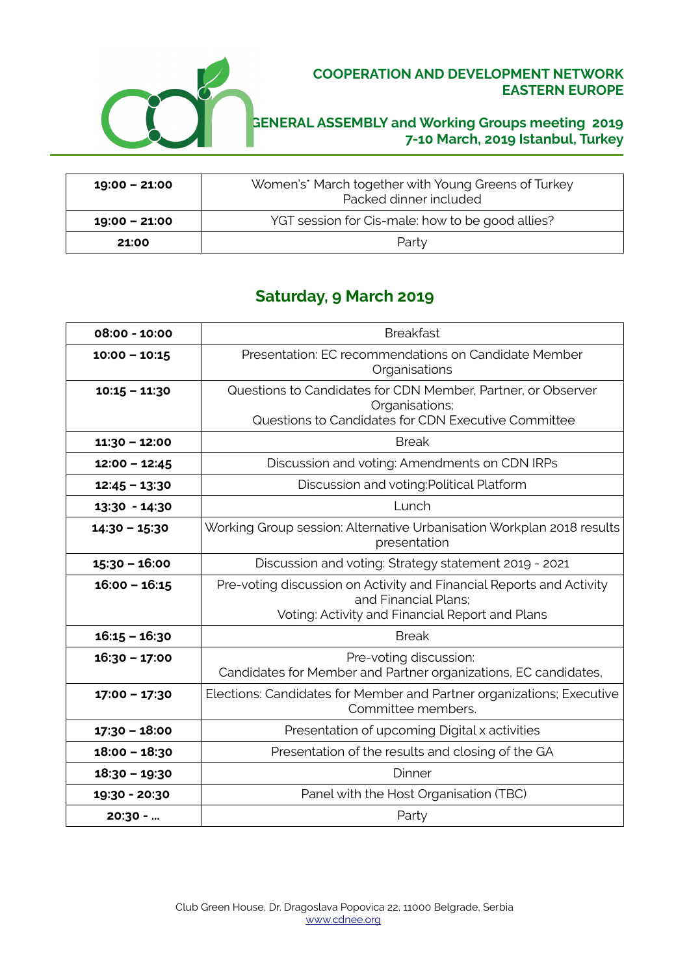

### **COOPERATION AND DEVELOPMENT NETWORK EASTERN EUROPE**

## **GENERAL ASSEMBLY and Working Groups meeting 2019 7-10 March, 2019 Istanbul, Turkey**

| $19:00 - 21:00$ | Women's* March together with Young Greens of Turkey<br>Packed dinner included |
|-----------------|-------------------------------------------------------------------------------|
| $19:00 - 21:00$ | YGT session for Cis-male: how to be good allies?                              |
| 21:00           | Party                                                                         |

## **Saturday, 9 March 2019**

| 08:00 - 10:00   | <b>Breakfast</b>                                                                                                                                |
|-----------------|-------------------------------------------------------------------------------------------------------------------------------------------------|
| $10:00 - 10:15$ | Presentation: EC recommendations on Candidate Member<br>Organisations                                                                           |
| $10:15 - 11:30$ | Questions to Candidates for CDN Member, Partner, or Observer<br>Organisations;<br>Questions to Candidates for CDN Executive Committee           |
| $11:30 - 12:00$ | <b>Break</b>                                                                                                                                    |
| $12:00 - 12:45$ | Discussion and voting: Amendments on CDN IRPs                                                                                                   |
| $12:45 - 13:30$ | Discussion and voting: Political Platform                                                                                                       |
| 13:30 - 14:30   | Lunch                                                                                                                                           |
| $14:30 - 15:30$ | Working Group session: Alternative Urbanisation Workplan 2018 results<br>presentation                                                           |
| $15:30 - 16:00$ | Discussion and voting: Strategy statement 2019 - 2021                                                                                           |
| $16:00 - 16:15$ | Pre-voting discussion on Activity and Financial Reports and Activity<br>and Financial Plans;<br>Voting: Activity and Financial Report and Plans |
| $16:15 - 16:30$ | <b>Break</b>                                                                                                                                    |
| $16:30 - 17:00$ | Pre-voting discussion:<br>Candidates for Member and Partner organizations, EC candidates,                                                       |
| $17:00 - 17:30$ | Elections: Candidates for Member and Partner organizations; Executive<br>Committee members.                                                     |
| $17:30 - 18:00$ | Presentation of upcoming Digital x activities                                                                                                   |
| $18:00 - 18:30$ | Presentation of the results and closing of the GA                                                                                               |
| 18:30 - 19:30   | Dinner                                                                                                                                          |
| 19:30 - 20:30   | Panel with the Host Organisation (TBC)                                                                                                          |
| 20:30 -         | Party                                                                                                                                           |